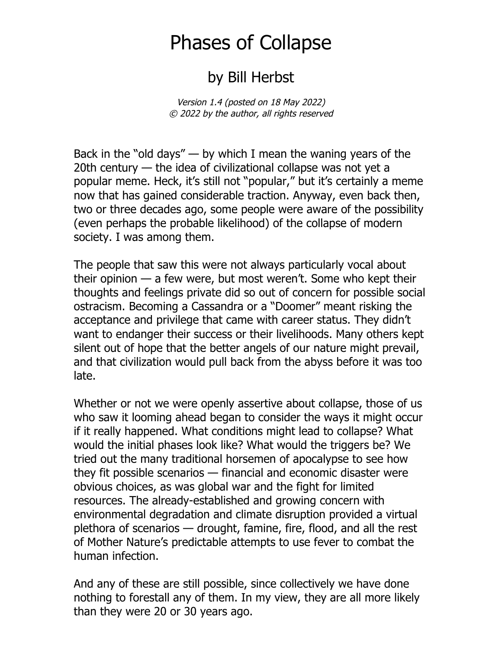## Phases of Collapse

## by Bill Herbst

Version 1.4 (posted on 18 May 2022) © 2022 by the author, all rights reserved

Back in the "old days"  $-$  by which I mean the waning years of the 20th century — the idea of civilizational collapse was not yet a popular meme. Heck, it's still not "popular," but it's certainly a meme now that has gained considerable traction. Anyway, even back then, two or three decades ago, some people were aware of the possibility (even perhaps the probable likelihood) of the collapse of modern society. I was among them.

The people that saw this were not always particularly vocal about their opinion — a few were, but most weren't. Some who kept their thoughts and feelings private did so out of concern for possible social ostracism. Becoming a Cassandra or a "Doomer" meant risking the acceptance and privilege that came with career status. They didn't want to endanger their success or their livelihoods. Many others kept silent out of hope that the better angels of our nature might prevail, and that civilization would pull back from the abyss before it was too late.

Whether or not we were openly assertive about collapse, those of us who saw it looming ahead began to consider the ways it might occur if it really happened. What conditions might lead to collapse? What would the initial phases look like? What would the triggers be? We tried out the many traditional horsemen of apocalypse to see how they fit possible scenarios — financial and economic disaster were obvious choices, as was global war and the fight for limited resources. The already-established and growing concern with environmental degradation and climate disruption provided a virtual plethora of scenarios — drought, famine, fire, flood, and all the rest of Mother Nature's predictable attempts to use fever to combat the human infection.

And any of these are still possible, since collectively we have done nothing to forestall any of them. In my view, they are all more likely than they were 20 or 30 years ago.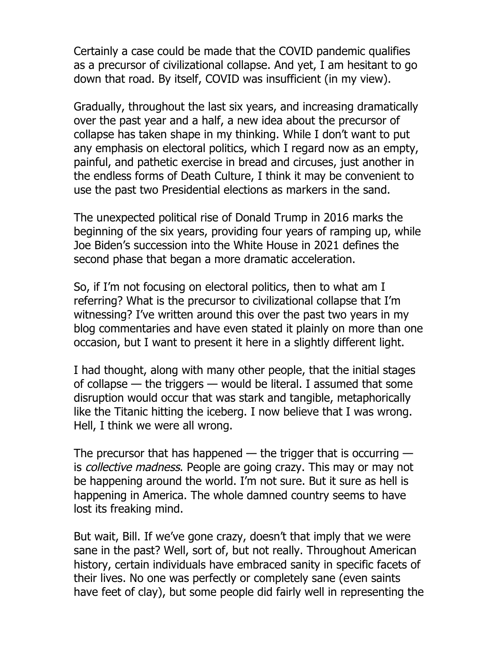Certainly a case could be made that the COVID pandemic qualifies as a precursor of civilizational collapse. And yet, I am hesitant to go down that road. By itself, COVID was insufficient (in my view).

Gradually, throughout the last six years, and increasing dramatically over the past year and a half, a new idea about the precursor of collapse has taken shape in my thinking. While I don't want to put any emphasis on electoral politics, which I regard now as an empty, painful, and pathetic exercise in bread and circuses, just another in the endless forms of Death Culture, I think it may be convenient to use the past two Presidential elections as markers in the sand.

The unexpected political rise of Donald Trump in 2016 marks the beginning of the six years, providing four years of ramping up, while Joe Biden's succession into the White House in 2021 defines the second phase that began a more dramatic acceleration.

So, if I'm not focusing on electoral politics, then to what am I referring? What is the precursor to civilizational collapse that I'm witnessing? I've written around this over the past two years in my blog commentaries and have even stated it plainly on more than one occasion, but I want to present it here in a slightly different light.

I had thought, along with many other people, that the initial stages of collapse — the triggers — would be literal. I assumed that some disruption would occur that was stark and tangible, metaphorically like the Titanic hitting the iceberg. I now believe that I was wrong. Hell, I think we were all wrong.

The precursor that has happened  $-$  the trigger that is occurring  $$ is collective madness. People are going crazy. This may or may not be happening around the world. I'm not sure. But it sure as hell is happening in America. The whole damned country seems to have lost its freaking mind.

But wait, Bill. If we've gone crazy, doesn't that imply that we were sane in the past? Well, sort of, but not really. Throughout American history, certain individuals have embraced sanity in specific facets of their lives. No one was perfectly or completely sane (even saints have feet of clay), but some people did fairly well in representing the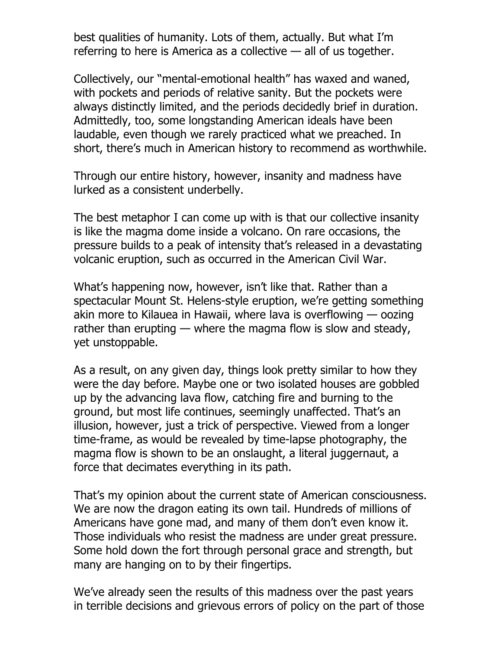best qualities of humanity. Lots of them, actually. But what I'm referring to here is America as a collective — all of us together.

Collectively, our "mental-emotional health" has waxed and waned, with pockets and periods of relative sanity. But the pockets were always distinctly limited, and the periods decidedly brief in duration. Admittedly, too, some longstanding American ideals have been laudable, even though we rarely practiced what we preached. In short, there's much in American history to recommend as worthwhile.

Through our entire history, however, insanity and madness have lurked as a consistent underbelly.

The best metaphor I can come up with is that our collective insanity is like the magma dome inside a volcano. On rare occasions, the pressure builds to a peak of intensity that's released in a devastating volcanic eruption, such as occurred in the American Civil War.

What's happening now, however, isn't like that. Rather than a spectacular Mount St. Helens-style eruption, we're getting something akin more to Kilauea in Hawaii, where lava is overflowing — oozing rather than erupting — where the magma flow is slow and steady, yet unstoppable.

As a result, on any given day, things look pretty similar to how they were the day before. Maybe one or two isolated houses are gobbled up by the advancing lava flow, catching fire and burning to the ground, but most life continues, seemingly unaffected. That's an illusion, however, just a trick of perspective. Viewed from a longer time-frame, as would be revealed by time-lapse photography, the magma flow is shown to be an onslaught, a literal juggernaut, a force that decimates everything in its path.

That's my opinion about the current state of American consciousness. We are now the dragon eating its own tail. Hundreds of millions of Americans have gone mad, and many of them don't even know it. Those individuals who resist the madness are under great pressure. Some hold down the fort through personal grace and strength, but many are hanging on to by their fingertips.

We've already seen the results of this madness over the past years in terrible decisions and grievous errors of policy on the part of those